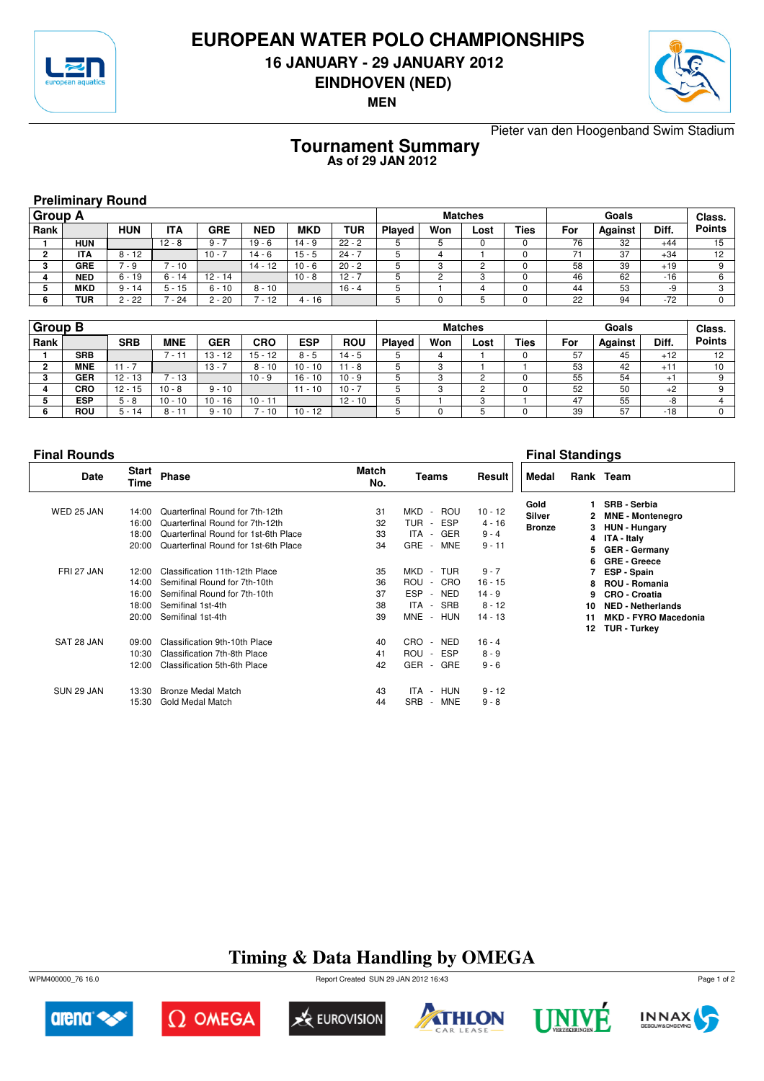

### **EUROPEAN WATER POLO CHAMPIONSHIPS**

**16 JANUARY - 29 JANUARY 2012**



**EINDHOVEN (NED)**

**MEN**

Pieter van den Hoogenband Swim Stadium

#### **Tournament Summary As of 29 JAN 2012**

| <b>Preliminary Round</b> |
|--------------------------|
|--------------------------|

| <b>Group A</b> |            |            |            |            |            |            |          | <b>Matches</b> |     |      |             |     | Class.  |       |               |
|----------------|------------|------------|------------|------------|------------|------------|----------|----------------|-----|------|-------------|-----|---------|-------|---------------|
| ∣ Rank         |            | <b>HUN</b> | <b>ITA</b> | <b>GRE</b> | <b>NED</b> | <b>MKD</b> | TUR      | <b>Played</b>  | Won | Lost | <b>Ties</b> | For | Against | Diff. | <b>Points</b> |
|                | <b>HUN</b> |            | $12 - 8$   | $9 -$      | $19 - 6$   | $14 - 9$   | $22 - 2$ |                |     |      |             | 76  | 32      | $+44$ | 15            |
|                | ITA        | $8 - 12$   |            | $10 -$     | 14 - 6     | $15 - 5$   | $24 - 7$ |                |     |      |             |     | 37      | $+34$ | 12            |
|                | <b>GRE</b> | ' - 9      | $-10$      |            | 14 - 12    | $10 - 6$   | $20 - 2$ |                |     | ິ    |             | 58  | 39      | $+19$ |               |
|                | <b>NED</b> | $6 - 19$   | $6 - 14$   | $12 - 14$  |            | $10 - 8$   | $12 - 7$ |                | ⌒   | ົ    |             | 46  | 62      | $-16$ |               |
|                | <b>MKD</b> | $9 - 14$   | $5 - 15$   | 10<br>6 -  | $8 - 10$   |            | $16 - 4$ |                |     |      |             | 44  | 53      | -9    | $\Omega$      |
| 6              | <b>TUR</b> | 2 - 22     | $-24$      | $2 - 20$   | ั - 12     | 4 - 16     |          |                |     |      |             | 22  | 94      | $-72$ |               |

| Group B |            |            |            |            |            |             | <b>Matches</b> |               |     |      |             | Class. |         |       |               |
|---------|------------|------------|------------|------------|------------|-------------|----------------|---------------|-----|------|-------------|--------|---------|-------|---------------|
| Rank    |            | <b>SRB</b> | <b>MNE</b> | <b>GER</b> | <b>CRO</b> | <b>ESP</b>  | <b>ROU</b>     | <b>Played</b> | Won | Lost | <b>Ties</b> | For    | Against | Diff. | <b>Points</b> |
|         | <b>SRB</b> |            | . د ۱      | $13 - 12$  | $15 - 12$  | $8 - 5$     | 14 - 5         |               |     |      |             | 57     | 45      | $+12$ | 12            |
|         | <b>MNE</b> | $11 - 1$   |            | 13 -       | $8 - 10$   | $10 - 10$   | $11 - 8$       |               | ົ   |      |             | 53     | 42      | $+11$ | 10            |
|         | <b>GER</b> | $12 - 13$  | $-13$      |            | $10 - 9$   | $16 - 10$   | $10 - 9$       |               |     |      |             | 55     | 54      | $+$   | $\Omega$      |
|         | <b>CRO</b> | $12 - 15$  | $10 - 8$   | $9 - 10$   |            | 11<br>$-10$ | $10 - 7$       |               | ົ   |      |             | 52     | 50      | $+2$  |               |
|         | <b>ESP</b> | $5 - 8$    | $10 - 10$  | $10 - 16$  | $10 - 11$  |             | $12 - 10$      |               |     | c    |             | 47     | 55      | -8    |               |
|         | <b>ROU</b> | $5 - 14$   | 8 - 11     | $9 - 10$   | ั - 10     | $10 - 12$   |                |               |     |      |             | 39     | 57      | $-18$ | 0             |

#### **Final Rounds Final Standings**

| <b>Date</b> | Start<br>Time | <b>Phase</b>                         | <b>Match</b><br>No. | Teams                              | Result    | Medal         |    | Rank Team                   |
|-------------|---------------|--------------------------------------|---------------------|------------------------------------|-----------|---------------|----|-----------------------------|
|             |               |                                      |                     |                                    |           | Gold          |    | <b>SRB - Serbia</b>         |
| WED 25 JAN  | 14:00         | Quarterfinal Round for 7th-12th      | 31                  | MKD<br>ROU<br>$\sim$               | $10 - 12$ | Silver        | 2. | <b>MNE - Montenegro</b>     |
|             | 16:00         | Quarterfinal Round for 7th-12th      | 32                  | <b>ESP</b><br>TUR<br>$\sim$        | $4 - 16$  | <b>Bronze</b> | 3. | <b>HUN - Hungary</b>        |
|             | 18:00         | Quarterfinal Round for 1st-6th Place | 33                  | <b>GER</b><br>ITA<br>$\sim$        | $9 - 4$   |               |    | 4 ITA - Italy               |
|             | 20:00         | Quarterfinal Round for 1st-6th Place | 34                  | <b>GRE</b><br><b>MNE</b><br>$\sim$ | $9 - 11$  |               | 5  | <b>GER</b> - Germany        |
|             |               |                                      |                     |                                    |           |               | 6. | <b>GRE - Greece</b>         |
| FRI 27 JAN  | 12:00         | Classification 11th-12th Place       | 35                  | MKD<br>TUR<br>$\sim$               | $9 - 7$   |               |    | ESP - Spain                 |
|             | 14:00         | Semifinal Round for 7th-10th         | 36                  | ROU<br>CRO<br>$\sim$               | $16 - 15$ |               | 8. | <b>ROU - Romania</b>        |
|             | 16:00         | Semifinal Round for 7th-10th         | 37                  | <b>ESP</b><br><b>NED</b><br>$\sim$ | $14 - 9$  |               | 9  | <b>CRO - Croatia</b>        |
|             | 18:00         | Semifinal 1st-4th                    | 38                  | <b>SRB</b><br>ITA -                | $8 - 12$  |               | 10 | <b>NED - Netherlands</b>    |
|             | 20:00         | Semifinal 1st-4th                    | 39                  | <b>MNE</b><br>HUN<br>$\sim$        | $14 - 13$ |               | 11 | <b>MKD - FYRO Macedonia</b> |
|             |               |                                      |                     |                                    |           |               | 12 | <b>TUR - Turkey</b>         |
| SAT 28 JAN  | 09:00         | Classification 9th-10th Place        | 40                  | CRO.<br><b>NED</b><br>$\sim$       | $16 - 4$  |               |    |                             |
|             | 10:30         | Classification 7th-8th Place         | 41                  | <b>ESP</b><br>ROU<br>$\sim$        | $8 - 9$   |               |    |                             |
|             | 12:00         | Classification 5th-6th Place         | 42                  | <b>GER</b><br><b>GRE</b><br>$\sim$ | $9 - 6$   |               |    |                             |
| SUN 29 JAN  | 13:30         | Bronze Medal Match                   | 43                  | ITA<br><b>HUN</b><br>$\sim$        | $9 - 12$  |               |    |                             |
|             | 15:30         | Gold Medal Match                     | 44                  | <b>SRB</b><br><b>MNE</b><br>٠.     | $9 - 8$   |               |    |                             |
|             |               |                                      |                     |                                    |           |               |    |                             |

# **Timing & Data Handling by OMEGA**

WPM400000\_76 16.0 Report Created SUN 29 JAN 2012 16:43













Page 1 of 2